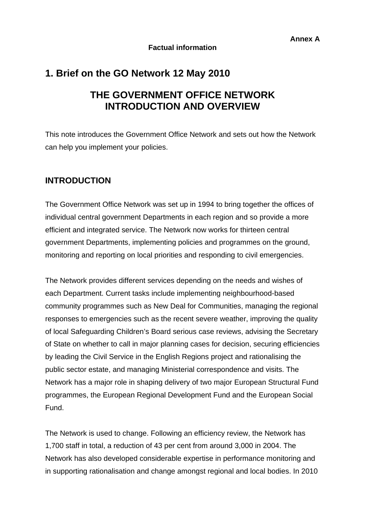# **1. Brief on the GO Network 12 May 2010**

# **THE GOVERNMENT OFFICE NETWORK INTRODUCTION AND OVERVIEW**

This note introduces the Government Office Network and sets out how the Network can help you implement your policies.

## **INTRODUCTION**

The Government Office Network was set up in 1994 to bring together the offices of individual central government Departments in each region and so provide a more efficient and integrated service. The Network now works for thirteen central government Departments, implementing policies and programmes on the ground, monitoring and reporting on local priorities and responding to civil emergencies.

The Network provides different services depending on the needs and wishes of each Department. Current tasks include implementing neighbourhood-based community programmes such as New Deal for Communities, managing the regional responses to emergencies such as the recent severe weather, improving the quality of local Safeguarding Children's Board serious case reviews, advising the Secretary of State on whether to call in major planning cases for decision, securing efficiencies by leading the Civil Service in the English Regions project and rationalising the public sector estate, and managing Ministerial correspondence and visits. The Network has a major role in shaping delivery of two major European Structural Fund programmes, the European Regional Development Fund and the European Social Fund.

The Network is used to change. Following an efficiency review, the Network has 1,700 staff in total, a reduction of 43 per cent from around 3,000 in 2004. The Network has also developed considerable expertise in performance monitoring and in supporting rationalisation and change amongst regional and local bodies. In 2010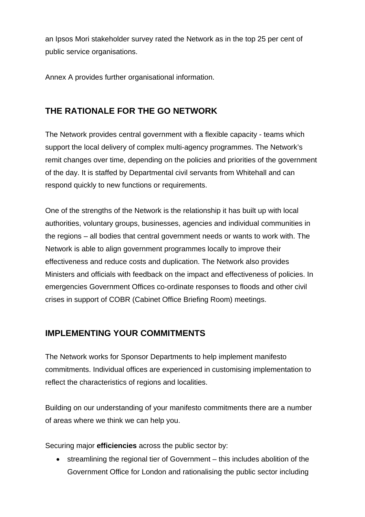an Ipsos Mori stakeholder survey rated the Network as in the top 25 per cent of public service organisations.

Annex A provides further organisational information.

# **THE RATIONALE FOR THE GO NETWORK**

The Network provides central government with a flexible capacity - teams which support the local delivery of complex multi-agency programmes. The Network's remit changes over time, depending on the policies and priorities of the government of the day. It is staffed by Departmental civil servants from Whitehall and can respond quickly to new functions or requirements.

One of the strengths of the Network is the relationship it has built up with local authorities, voluntary groups, businesses, agencies and individual communities in the regions – all bodies that central government needs or wants to work with. The Network is able to align government programmes locally to improve their effectiveness and reduce costs and duplication. The Network also provides Ministers and officials with feedback on the impact and effectiveness of policies. In emergencies Government Offices co-ordinate responses to floods and other civil crises in support of COBR (Cabinet Office Briefing Room) meetings.

## **IMPLEMENTING YOUR COMMITMENTS**

The Network works for Sponsor Departments to help implement manifesto commitments. Individual offices are experienced in customising implementation to reflect the characteristics of regions and localities.

Building on our understanding of your manifesto commitments there are a number of areas where we think we can help you.

Securing major **efficiencies** across the public sector by:

• streamlining the regional tier of Government – this includes abolition of the Government Office for London and rationalising the public sector including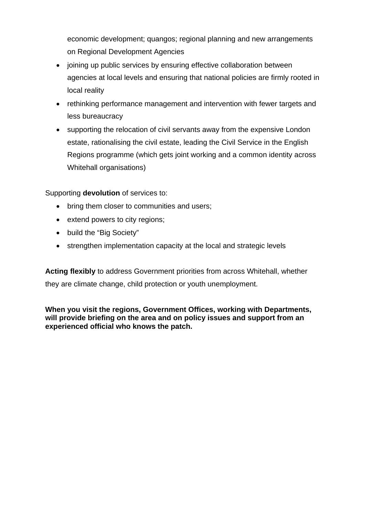economic development; quangos; regional planning and new arrangements on Regional Development Agencies

- joining up public services by ensuring effective collaboration between agencies at local levels and ensuring that national policies are firmly rooted in local reality
- rethinking performance management and intervention with fewer targets and less bureaucracy
- supporting the relocation of civil servants away from the expensive London estate, rationalising the civil estate, leading the Civil Service in the English Regions programme (which gets joint working and a common identity across Whitehall organisations)

Supporting **devolution** of services to:

- bring them closer to communities and users;
- extend powers to city regions;
- build the "Big Society"
- strengthen implementation capacity at the local and strategic levels

**Acting flexibly** to address Government priorities from across Whitehall, whether they are climate change, child protection or youth unemployment.

**When you visit the regions, Government Offices, working with Departments, will provide briefing on the area and on policy issues and support from an experienced official who knows the patch.**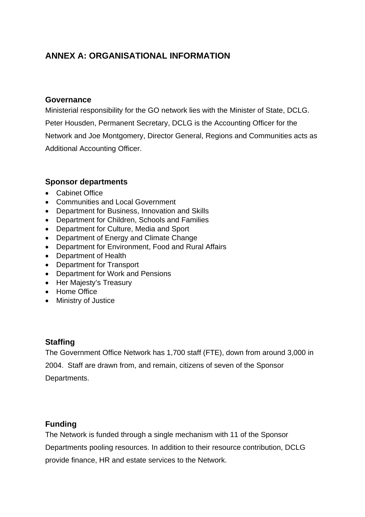# **ANNEX A: ORGANISATIONAL INFORMATION**

### **Governance**

Ministerial responsibility for the GO network lies with the Minister of State, DCLG. Peter Housden, Permanent Secretary, DCLG is the Accounting Officer for the Network and Joe Montgomery, Director General, Regions and Communities acts as Additional Accounting Officer.

### **Sponsor departments**

- Cabinet Office
- Communities and Local Government
- Department for Business, Innovation and Skills
- Department for Children, Schools and Families
- Department for Culture, Media and Sport
- Department of Energy and Climate Change
- Department for Environment, Food and Rural Affairs
- Department of Health
- Department for Transport
- Department for Work and Pensions
- Her Majesty's Treasury
- Home Office
- Ministry of Justice

### **Staffing**

The Government Office Network has 1,700 staff (FTE), down from around 3,000 in 2004. Staff are drawn from, and remain, citizens of seven of the Sponsor Departments.

### **Funding**

The Network is funded through a single mechanism with 11 of the Sponsor Departments pooling resources. In addition to their resource contribution, DCLG provide finance, HR and estate services to the Network.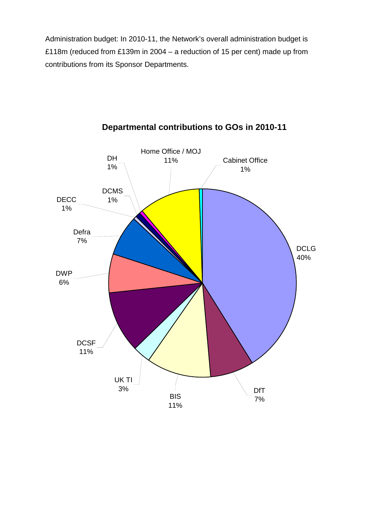Administration budget: In 2010-11, the Network's overall administration budget is £118m (reduced from £139m in 2004 – a reduction of 15 per cent) made up from contributions from its Sponsor Departments.



## **Departmental contributions to GOs in 2010-11**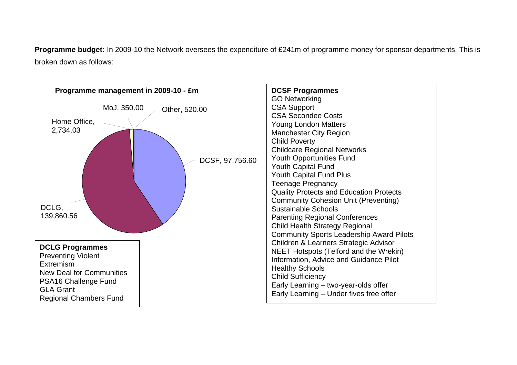**Programme budget:** In 2009-10 the Network oversees the expenditure of £241m of programme money for sponsor departments. This is broken down as follows: